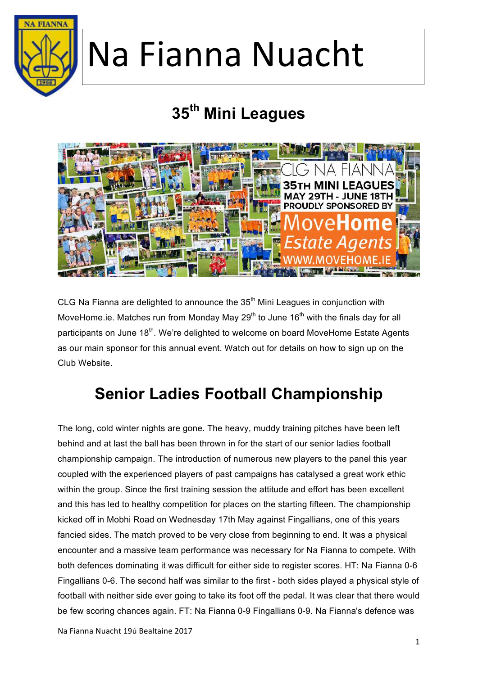

### **35th Mini Leagues**



CLG Na Fianna are delighted to announce the  $35<sup>th</sup>$  Mini Leagues in conjunction with MoveHome.ie. Matches run from Monday May  $29<sup>th</sup>$  to June 16<sup>th</sup> with the finals day for all participants on June 18<sup>th</sup>. We're delighted to welcome on board MoveHome Estate Agents as our main sponsor for this annual event. Watch out for details on how to sign up on the Club Website.

#### **Senior Ladies Football Championship**

The long, cold winter nights are gone. The heavy, muddy training pitches have been left behind and at last the ball has been thrown in for the start of our senior ladies football championship campaign. The introduction of numerous new players to the panel this year coupled with the experienced players of past campaigns has catalysed a great work ethic within the group. Since the first training session the attitude and effort has been excellent and this has led to healthy competition for places on the starting fifteen. The championship kicked off in Mobhi Road on Wednesday 17th May against Fingallians, one of this years fancied sides. The match proved to be very close from beginning to end. It was a physical encounter and a massive team performance was necessary for Na Fianna to compete. With both defences dominating it was difficult for either side to register scores. HT: Na Fianna 0-6 Fingallians 0-6. The second half was similar to the first - both sides played a physical style of football with neither side ever going to take its foot off the pedal. It was clear that there would be few scoring chances again. FT: Na Fianna 0-9 Fingallians 0-9. Na Fianna's defence was

Na Fianna Nuacht 19ú Bealtaine 2017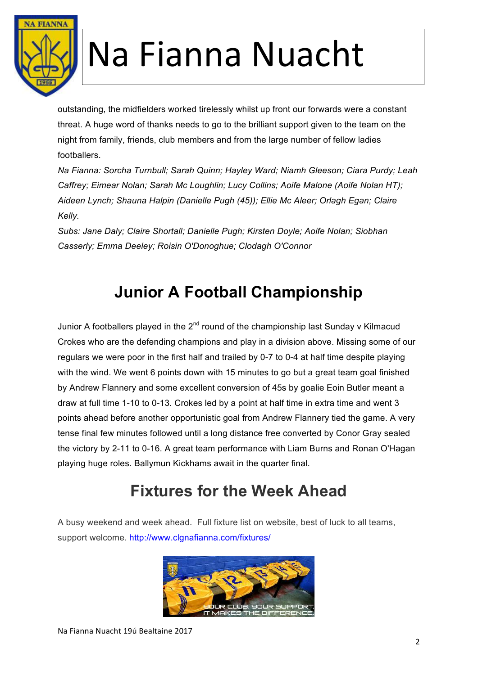

outstanding, the midfielders worked tirelessly whilst up front our forwards were a constant threat. A huge word of thanks needs to go to the brilliant support given to the team on the night from family, friends, club members and from the large number of fellow ladies footballers.

*Na Fianna: Sorcha Turnbull; Sarah Quinn; Hayley Ward; Niamh Gleeson; Ciara Purdy; Leah Caffrey; Eimear Nolan; Sarah Mc Loughlin; Lucy Collins; Aoife Malone (Aoife Nolan HT); Aideen Lynch; Shauna Halpin (Danielle Pugh (45)); Ellie Mc Aleer; Orlagh Egan; Claire Kelly.*

*Subs: Jane Daly; Claire Shortall; Danielle Pugh; Kirsten Doyle; Aoife Nolan; Siobhan Casserly; Emma Deeley; Roisin O'Donoghue; Clodagh O'Connor*

### **Junior A Football Championship**

Junior A footballers played in the  $2^{nd}$  round of the championship last Sunday v Kilmacud Crokes who are the defending champions and play in a division above. Missing some of our regulars we were poor in the first half and trailed by 0-7 to 0-4 at half time despite playing with the wind. We went 6 points down with 15 minutes to go but a great team goal finished by Andrew Flannery and some excellent conversion of 45s by goalie Eoin Butler meant a draw at full time 1-10 to 0-13. Crokes led by a point at half time in extra time and went 3 points ahead before another opportunistic goal from Andrew Flannery tied the game. A very tense final few minutes followed until a long distance free converted by Conor Gray sealed the victory by 2-11 to 0-16. A great team performance with Liam Burns and Ronan O'Hagan playing huge roles. Ballymun Kickhams await in the quarter final.

#### **Fixtures for the Week Ahead**

A busy weekend and week ahead. Full fixture list on website, best of luck to all teams, support welcome. http://www.clgnafianna.com/fixtures/

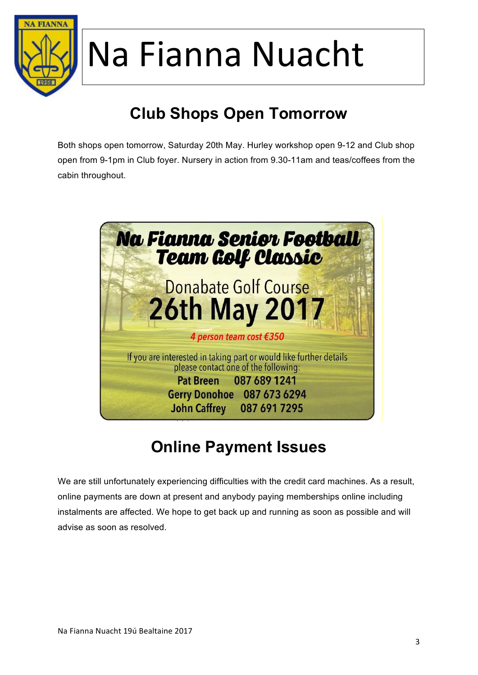

### **Club Shops Open Tomorrow**

Both shops open tomorrow, Saturday 20th May. Hurley workshop open 9-12 and Club shop open from 9-1pm in Club foyer. Nursery in action from 9.30-11am and teas/coffees from the cabin throughout.



### **Online Payment Issues**

We are still unfortunately experiencing difficulties with the credit card machines. As a result, online payments are down at present and anybody paying memberships online including instalments are affected. We hope to get back up and running as soon as possible and will advise as soon as resolved.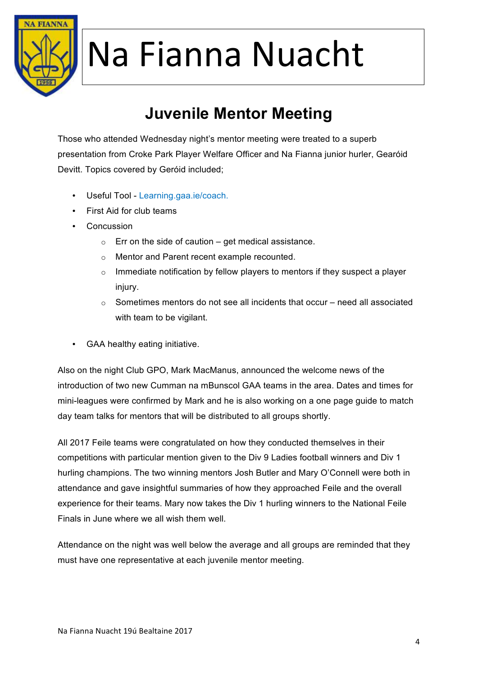

#### **Juvenile Mentor Meeting**

Those who attended Wednesday night's mentor meeting were treated to a superb presentation from Croke Park Player Welfare Officer and Na Fianna junior hurler, Gearóid Devitt. Topics covered by Geróid included;

- Useful Tool Learning.gaa.ie/coach.
- First Aid for club teams
- Concussion
	- $\circ$  Err on the side of caution get medical assistance.
	- o Mentor and Parent recent example recounted.
	- $\circ$  Immediate notification by fellow players to mentors if they suspect a player injury.
	- $\circ$  Sometimes mentors do not see all incidents that occur need all associated with team to be vigilant.
- GAA healthy eating initiative.

Also on the night Club GPO, Mark MacManus, announced the welcome news of the introduction of two new Cumman na mBunscol GAA teams in the area. Dates and times for mini-leagues were confirmed by Mark and he is also working on a one page guide to match day team talks for mentors that will be distributed to all groups shortly.

All 2017 Feile teams were congratulated on how they conducted themselves in their competitions with particular mention given to the Div 9 Ladies football winners and Div 1 hurling champions. The two winning mentors Josh Butler and Mary O'Connell were both in attendance and gave insightful summaries of how they approached Feile and the overall experience for their teams. Mary now takes the Div 1 hurling winners to the National Feile Finals in June where we all wish them well.

Attendance on the night was well below the average and all groups are reminded that they must have one representative at each juvenile mentor meeting.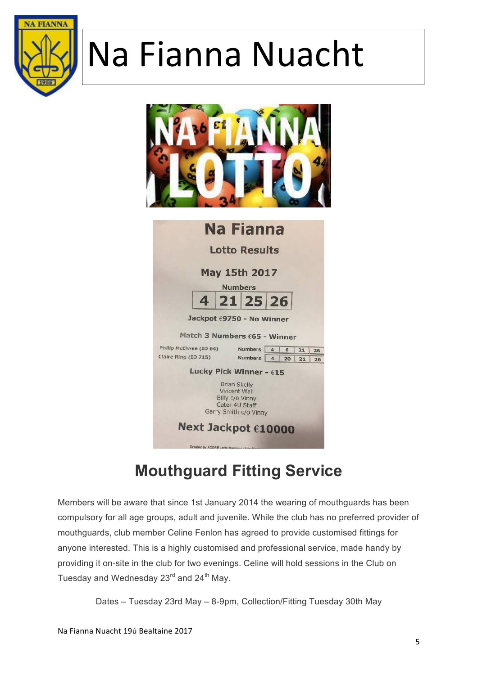



| <b>Na Fianna</b>                             |                                                                                                   |                |            |          |
|----------------------------------------------|---------------------------------------------------------------------------------------------------|----------------|------------|----------|
| <b>Lotto Results</b><br><b>May 15th 2017</b> |                                                                                                   |                |            |          |
|                                              |                                                                                                   |                |            |          |
|                                              |                                                                                                   |                | 4 21 25 26 |          |
| Jackpot €9750 - No Winner                    |                                                                                                   |                |            |          |
| Match 3 Numbers £65 - Winner                 |                                                                                                   |                |            |          |
| Philip McElwee (ID 64)                       |                                                                                                   | <b>Numbers</b> | 4<br>6     | 21<br>26 |
| Claire Ring (ID 715)                         |                                                                                                   | <b>Numbers</b> | 4<br>20    | 21<br>26 |
| Lucky Pick Winner - $615$                    |                                                                                                   |                |            |          |
|                                              | <b>Brian Skelly</b><br>Vincent Wall<br>Billy c/o Vinny<br>Cater 4U Staff<br>Garry Smith c/o Vinny |                |            |          |
| Next Jackpot €10000                          |                                                                                                   |                |            |          |
|                                              | Created by ACORE Lotto Manager - http:                                                            |                |            |          |

#### **Mouthguard Fitting Service**

Members will be aware that since 1st January 2014 the wearing of mouthguards has been compulsory for all age groups, adult and juvenile. While the club has no preferred provider of mouthguards, club member Celine Fenlon has agreed to provide customised fittings for anyone interested. This is a highly customised and professional service, made handy by providing it on-site in the club for two evenings. Celine will hold sessions in the Club on Tuesday and Wednesday  $23^{\text{rd}}$  and  $24^{\text{th}}$  May.

Dates – Tuesday 23rd May – 8-9pm, Collection/Fitting Tuesday 30th May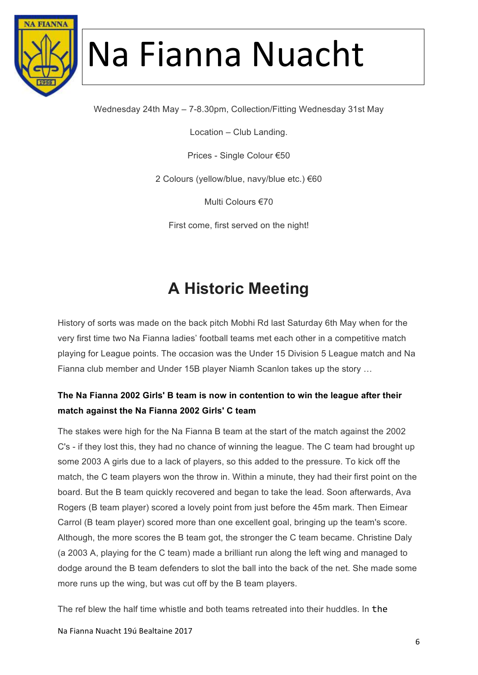

Wednesday 24th May – 7-8.30pm, Collection/Fitting Wednesday 31st May

Location – Club Landing.

Prices - Single Colour €50

2 Colours (yellow/blue, navy/blue etc.) €60

Multi Colours €70

First come, first served on the night!

#### **A Historic Meeting**

History of sorts was made on the back pitch Mobhi Rd last Saturday 6th May when for the very first time two Na Fianna ladies' football teams met each other in a competitive match playing for League points. The occasion was the Under 15 Division 5 League match and Na Fianna club member and Under 15B player Niamh Scanlon takes up the story …

#### **The Na Fianna 2002 Girls' B team is now in contention to win the league after their match against the Na Fianna 2002 Girls' C team**

The stakes were high for the Na Fianna B team at the start of the match against the 2002 C's - if they lost this, they had no chance of winning the league. The C team had brought up some 2003 A girls due to a lack of players, so this added to the pressure. To kick off the match, the C team players won the throw in. Within a minute, they had their first point on the board. But the B team quickly recovered and began to take the lead. Soon afterwards, Ava Rogers (B team player) scored a lovely point from just before the 45m mark. Then Eimear Carrol (B team player) scored more than one excellent goal, bringing up the team's score. Although, the more scores the B team got, the stronger the C team became. Christine Daly (a 2003 A, playing for the C team) made a brilliant run along the left wing and managed to dodge around the B team defenders to slot the ball into the back of the net. She made some more runs up the wing, but was cut off by the B team players.

The ref blew the half time whistle and both teams retreated into their huddles. In the 

Na Fianna Nuacht 19ú Bealtaine 2017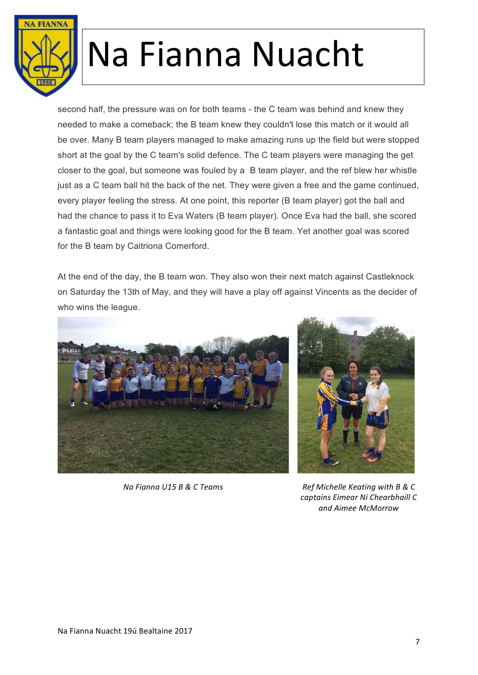

second half, the pressure was on for both teams - the C team was behind and knew they needed to make a comeback; the B team knew they couldn't lose this match or it would all be over. Many B team players managed to make amazing runs up the field but were stopped short at the goal by the C team's solid defence. The C team players were managing the get closer to the goal, but someone was fouled by a B team player, and the ref blew her whistle just as a C team ball hit the back of the net. They were given a free and the game continued, every player feeling the stress. At one point, this reporter (B team player) got the ball and had the chance to pass it to Eva Waters (B team player). Once Eva had the ball, she scored a fantastic goal and things were looking good for the B team. Yet another goal was scored for the B team by Caitriona Comerford.

At the end of the day, the B team won. They also won their next match against Castleknock on Saturday the 13th of May, and they will have a play off against Vincents as the decider of who wins the league.





*Na Fianna U15 B & C Teams Ref Michelle Keating with B & C captains Eimear Ní Chearbhaill C and Aimee McMorrow*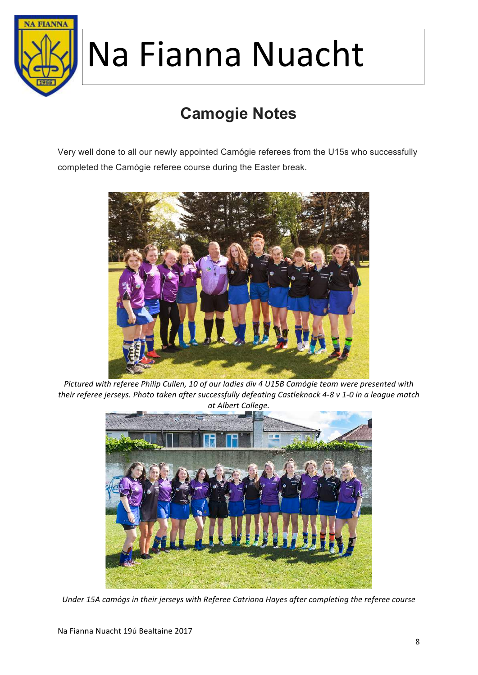

### **Camogie Notes**

Very well done to all our newly appointed Camógie referees from the U15s who successfully completed the Camógie referee course during the Easter break.



Pictured with referee Philip Cullen, 10 of our ladies div 4 U15B Camógie team were presented with their referee jerseys. Photo taken after successfully defeating Castleknock 4-8 v 1-0 in a league match *at Albert College.*



Under 15A camógs in their jerseys with Referee Catriona Hayes after completing the referee course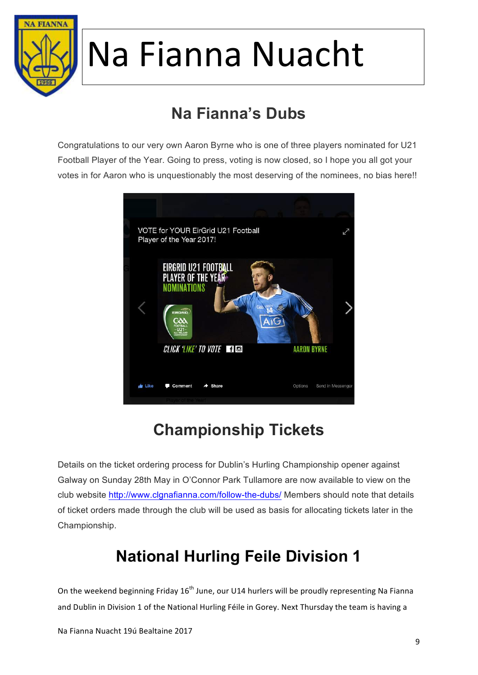

### **Na Fianna's Dubs**

Congratulations to our very own Aaron Byrne who is one of three players nominated for U21 Football Player of the Year. Going to press, voting is now closed, so I hope you all got your votes in for Aaron who is unquestionably the most deserving of the nominees, no bias here!!



#### **Championship Tickets**

Details on the ticket ordering process for Dublin's Hurling Championship opener against Galway on Sunday 28th May in O'Connor Park Tullamore are now available to view on the club website http://www.clgnafianna.com/follow-the-dubs/ Members should note that details of ticket orders made through the club will be used as basis for allocating tickets later in the Championship.

#### **National Hurling Feile Division 1**

On the weekend beginning Friday 16<sup>th</sup> June, our U14 hurlers will be proudly representing Na Fianna and Dublin in Division 1 of the National Hurling Féile in Gorey. Next Thursday the team is having a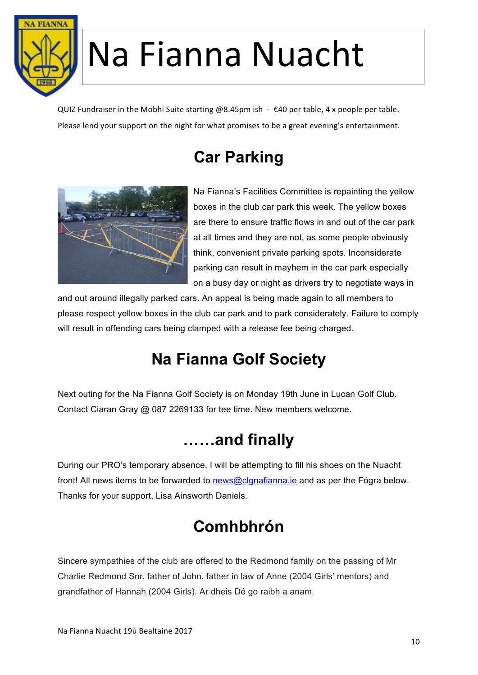

QUIZ Fundraiser in the Mobhi Suite starting @8.45pm ish -  $\epsilon$ 40 per table, 4 x people per table. Please lend your support on the night for what promises to be a great evening's entertainment.

### **Car Parking**



Na Fianna's Facilities Committee is repainting the yellow boxes in the club car park this week. The yellow boxes are there to ensure traffic flows in and out of the car park at all times and they are not, as some people obviously think, convenient private parking spots. Inconsiderate parking can result in mayhem in the car park especially on a busy day or night as drivers try to negotiate ways in

and out around illegally parked cars. An appeal is being made again to all members to please respect yellow boxes in the club car park and to park considerately. Failure to comply will result in offending cars being clamped with a release fee being charged.

### **Na Fianna Golf Society**

Next outing for the Na Fianna Golf Society is on Monday 19th June in Lucan Golf Club. Contact Ciaran Gray @ 087 2269133 for tee time. New members welcome.

#### **……and finally**

During our PRO's temporary absence, I will be attempting to fill his shoes on the Nuacht front! All news items to be forwarded to news@clgnafianna.ie and as per the Fógra below. Thanks for your support, Lisa Ainsworth Daniels.

#### **Comhbhrón**

Sincere sympathies of the club are offered to the Redmond family on the passing of Mr Charlie Redmond Snr, father of John, father in law of Anne (2004 Girls' mentors) and grandfather of Hannah (2004 Girls). Ar dheis Dé go raibh a anam.